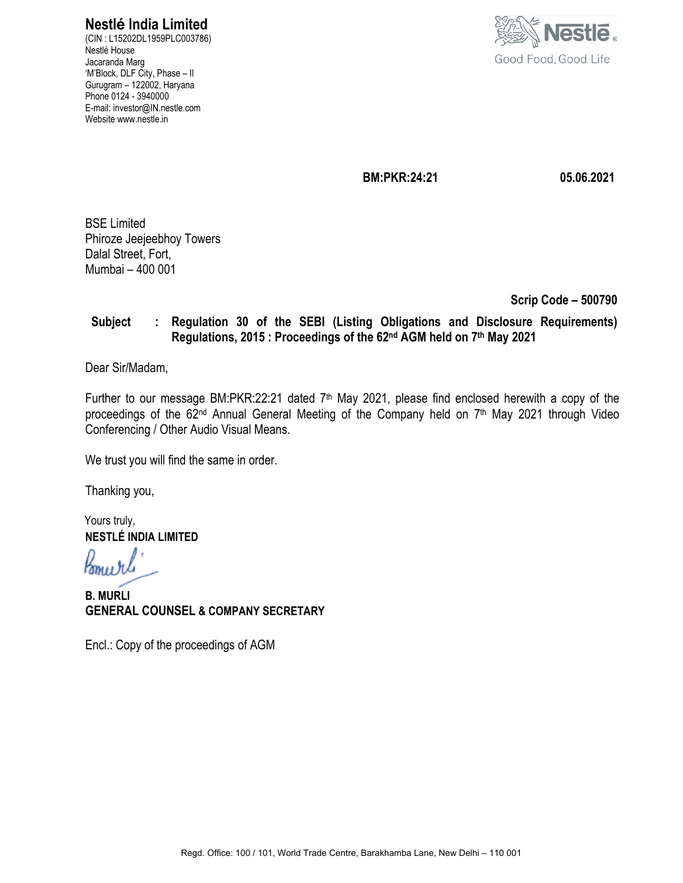# **Nestlé India Limited**

(CIN : L15202DL1959PLC003786) Nestlé House Jacaranda Marg 'M'Block, DLF City, Phase – II Gurugram – 122002, Haryana Phone 0124 - 3940000 E-mail: investor@IN.nestle.com Website www.nestle.in



 **BM:PKR:24:21 05.06.2021** 

BSE Limited Phiroze Jeejeebhoy Towers Dalal Street, Fort, Mumbai – 400 001

 **Scrip Code – 500790** 

# **Subject : Regulation 30 of the SEBI (Listing Obligations and Disclosure Requirements) Regulations, 2015 : Proceedings of the 62nd AGM held on 7th May 2021**

Dear Sir/Madam,

Further to our message BM:PKR:22:21 dated 7<sup>th</sup> May 2021, please find enclosed herewith a copy of the proceedings of the 62<sup>nd</sup> Annual General Meeting of the Company held on 7<sup>th</sup> May 2021 through Video Conferencing / Other Audio Visual Means.

We trust you will find the same in order.

Thanking you,

Yours truly, **NESTLÉ INDIA LIMITED** 

Komurl

**B. MURLI GENERAL COUNSEL & COMPANY SECRETARY**

Encl.: Copy of the proceedings of AGM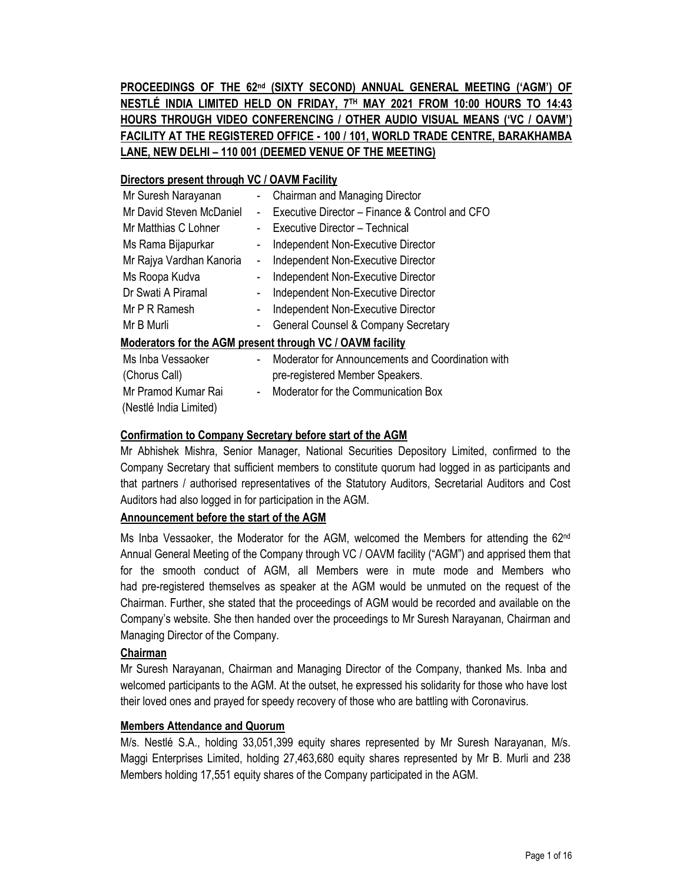**PROCEEDINGS OF THE 62 nd (SIXTY SECOND) ANNUAL GENERAL MEETING ('AGM') OF NESTLÉ INDIA LIMITED HELD ON FRIDAY, 7 TH MAY 2021 FROM 10:00 HOURS TO 14:43 HOURS THROUGH VIDEO CONFERENCING / OTHER AUDIO VISUAL MEANS ('VC / OAVM') FACILITY AT THE REGISTERED OFFICE - 100 / 101, WORLD TRADE CENTRE, BARAKHAMBA LANE, NEW DELHI – 110 001 (DEEMED VENUE OF THE MEETING)**

# **Directors present through VC / OAVM Facility**

| Mr Suresh Narayanan                                       |   | Chairman and Managing Director                    |  |  |  |  |  |
|-----------------------------------------------------------|---|---------------------------------------------------|--|--|--|--|--|
| Mr David Steven McDaniel                                  | ۰ | Executive Director - Finance & Control and CFO    |  |  |  |  |  |
| Mr Matthias C Lohner                                      |   | Executive Director - Technical                    |  |  |  |  |  |
| Ms Rama Bijapurkar                                        |   | Independent Non-Executive Director                |  |  |  |  |  |
| Mr Rajya Vardhan Kanoria                                  | - | Independent Non-Executive Director                |  |  |  |  |  |
| Ms Roopa Kudva                                            |   | Independent Non-Executive Director                |  |  |  |  |  |
| Dr Swati A Piramal                                        | ۰ | Independent Non-Executive Director                |  |  |  |  |  |
| Mr P R Ramesh                                             | ۰ | Independent Non-Executive Director                |  |  |  |  |  |
| Mr B Murli                                                | - | General Counsel & Company Secretary               |  |  |  |  |  |
| Moderators for the AGM present through VC / OAVM facility |   |                                                   |  |  |  |  |  |
| Ms Inba Vessaoker                                         |   | Moderator for Announcements and Coordination with |  |  |  |  |  |
| (Chorus Call)                                             |   | pre-registered Member Speakers.                   |  |  |  |  |  |
|                                                           |   |                                                   |  |  |  |  |  |

Mr Pramod Kumar Rai - Moderator for the Communication Box

(Nestlé India Limited)

# **Confirmation to Company Secretary before start of the AGM**

Mr Abhishek Mishra, Senior Manager, National Securities Depository Limited, confirmed to the Company Secretary that sufficient members to constitute quorum had logged in as participants and that partners / authorised representatives of the Statutory Auditors, Secretarial Auditors and Cost Auditors had also logged in for participation in the AGM.

# **Announcement before the start of the AGM**

Ms Inba Vessaoker, the Moderator for the AGM, welcomed the Members for attending the 62<sup>nd</sup> Annual General Meeting of the Company through VC / OAVM facility ("AGM") and apprised them that for the smooth conduct of AGM, all Members were in mute mode and Members who had pre-registered themselves as speaker at the AGM would be unmuted on the request of the Chairman. Further, she stated that the proceedings of AGM would be recorded and available on the Company's website. She then handed over the proceedings to Mr Suresh Narayanan, Chairman and Managing Director of the Company.

# **Chairman**

Mr Suresh Narayanan, Chairman and Managing Director of the Company, thanked Ms. Inba and welcomed participants to the AGM. At the outset, he expressed his solidarity for those who have lost their loved ones and prayed for speedy recovery of those who are battling with Coronavirus.

# **Members Attendance and Quorum**

M/s. Nestlé S.A., holding 33,051,399 equity shares represented by Mr Suresh Narayanan, M/s. Maggi Enterprises Limited, holding 27,463,680 equity shares represented by Mr B. Murli and 238 Members holding 17,551 equity shares of the Company participated in the AGM.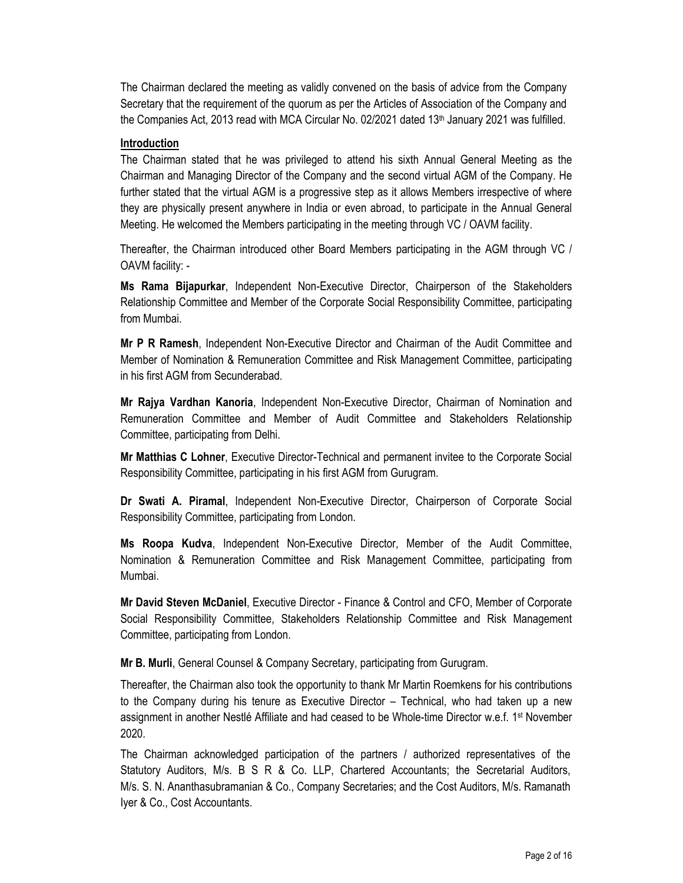The Chairman declared the meeting as validly convened on the basis of advice from the Company Secretary that the requirement of the quorum as per the Articles of Association of the Company and the Companies Act, 2013 read with MCA Circular No. 02/2021 dated  $13<sup>th</sup>$  January 2021 was fulfilled.

#### **Introduction**

The Chairman stated that he was privileged to attend his sixth Annual General Meeting as the Chairman and Managing Director of the Company and the second virtual AGM of the Company. He further stated that the virtual AGM is a progressive step as it allows Members irrespective of where they are physically present anywhere in India or even abroad, to participate in the Annual General Meeting. He welcomed the Members participating in the meeting through VC / OAVM facility.

Thereafter, the Chairman introduced other Board Members participating in the AGM through VC / OAVM facility: -

**Ms Rama Bijapurkar**, Independent Non-Executive Director, Chairperson of the Stakeholders Relationship Committee and Member of the Corporate Social Responsibility Committee, participating from Mumbai.

**Mr P R Ramesh**, Independent Non-Executive Director and Chairman of the Audit Committee and Member of Nomination & Remuneration Committee and Risk Management Committee, participating in his first AGM from Secunderabad.

**Mr Rajya Vardhan Kanoria**, Independent Non-Executive Director, Chairman of Nomination and Remuneration Committee and Member of Audit Committee and Stakeholders Relationship Committee, participating from Delhi.

**Mr Matthias C Lohner**, Executive Director-Technical and permanent invitee to the Corporate Social Responsibility Committee, participating in his first AGM from Gurugram.

**Dr Swati A. Piramal**, Independent Non-Executive Director, Chairperson of Corporate Social Responsibility Committee, participating from London.

**Ms Roopa Kudva**, Independent Non-Executive Director, Member of the Audit Committee, Nomination & Remuneration Committee and Risk Management Committee, participating from Mumbai.

**Mr David Steven McDaniel**, Executive Director - Finance & Control and CFO, Member of Corporate Social Responsibility Committee, Stakeholders Relationship Committee and Risk Management Committee, participating from London.

**Mr B. Murli**, General Counsel & Company Secretary, participating from Gurugram.

Thereafter, the Chairman also took the opportunity to thank Mr Martin Roemkens for his contributions to the Company during his tenure as Executive Director – Technical, who had taken up a new assignment in another Nestlé Affiliate and had ceased to be Whole-time Director w.e.f. 1<sup>st</sup> November 2020.

The Chairman acknowledged participation of the partners / authorized representatives of the Statutory Auditors, M/s. B S R & Co. LLP, Chartered Accountants; the Secretarial Auditors, M/s. S. N. Ananthasubramanian & Co., Company Secretaries; and the Cost Auditors, M/s. Ramanath Iyer & Co., Cost Accountants.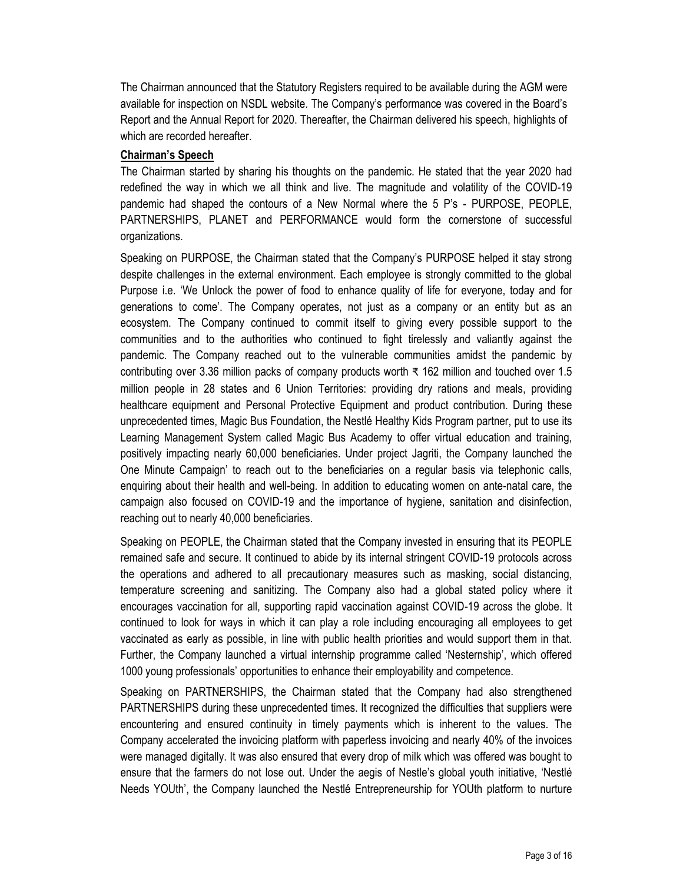The Chairman announced that the Statutory Registers required to be available during the AGM were available for inspection on NSDL website. The Company's performance was covered in the Board's Report and the Annual Report for 2020. Thereafter, the Chairman delivered his speech, highlights of which are recorded hereafter.

#### **Chairman's Speech**

The Chairman started by sharing his thoughts on the pandemic. He stated that the year 2020 had redefined the way in which we all think and live. The magnitude and volatility of the COVID-19 pandemic had shaped the contours of a New Normal where the 5 P's - PURPOSE, PEOPLE, PARTNERSHIPS, PLANET and PERFORMANCE would form the cornerstone of successful organizations.

Speaking on PURPOSE, the Chairman stated that the Company's PURPOSE helped it stay strong despite challenges in the external environment. Each employee is strongly committed to the global Purpose i.e. 'We Unlock the power of food to enhance quality of life for everyone, today and for generations to come'. The Company operates, not just as a company or an entity but as an ecosystem. The Company continued to commit itself to giving every possible support to the communities and to the authorities who continued to fight tirelessly and valiantly against the pandemic. The Company reached out to the vulnerable communities amidst the pandemic by contributing over 3.36 million packs of company products worth ₹ 162 million and touched over 1.5 million people in 28 states and 6 Union Territories: providing dry rations and meals, providing healthcare equipment and Personal Protective Equipment and product contribution. During these unprecedented times, Magic Bus Foundation, the Nestlé Healthy Kids Program partner, put to use its Learning Management System called Magic Bus Academy to offer virtual education and training, positively impacting nearly 60,000 beneficiaries. Under project Jagriti, the Company launched the One Minute Campaign' to reach out to the beneficiaries on a regular basis via telephonic calls, enquiring about their health and well-being. In addition to educating women on ante-natal care, the campaign also focused on COVID-19 and the importance of hygiene, sanitation and disinfection, reaching out to nearly 40,000 beneficiaries.

Speaking on PEOPLE, the Chairman stated that the Company invested in ensuring that its PEOPLE remained safe and secure. It continued to abide by its internal stringent COVID-19 protocols across the operations and adhered to all precautionary measures such as masking, social distancing, temperature screening and sanitizing. The Company also had a global stated policy where it encourages vaccination for all, supporting rapid vaccination against COVID-19 across the globe. It continued to look for ways in which it can play a role including encouraging all employees to get vaccinated as early as possible, in line with public health priorities and would support them in that. Further, the Company launched a virtual internship programme called 'Nesternship', which offered 1000 young professionals' opportunities to enhance their employability and competence.

Speaking on PARTNERSHIPS, the Chairman stated that the Company had also strengthened PARTNERSHIPS during these unprecedented times. It recognized the difficulties that suppliers were encountering and ensured continuity in timely payments which is inherent to the values. The Company accelerated the invoicing platform with paperless invoicing and nearly 40% of the invoices were managed digitally. It was also ensured that every drop of milk which was offered was bought to ensure that the farmers do not lose out. Under the aegis of Nestle's global youth initiative, 'Nestlé Needs YOUth', the Company launched the Nestlé Entrepreneurship for YOUth platform to nurture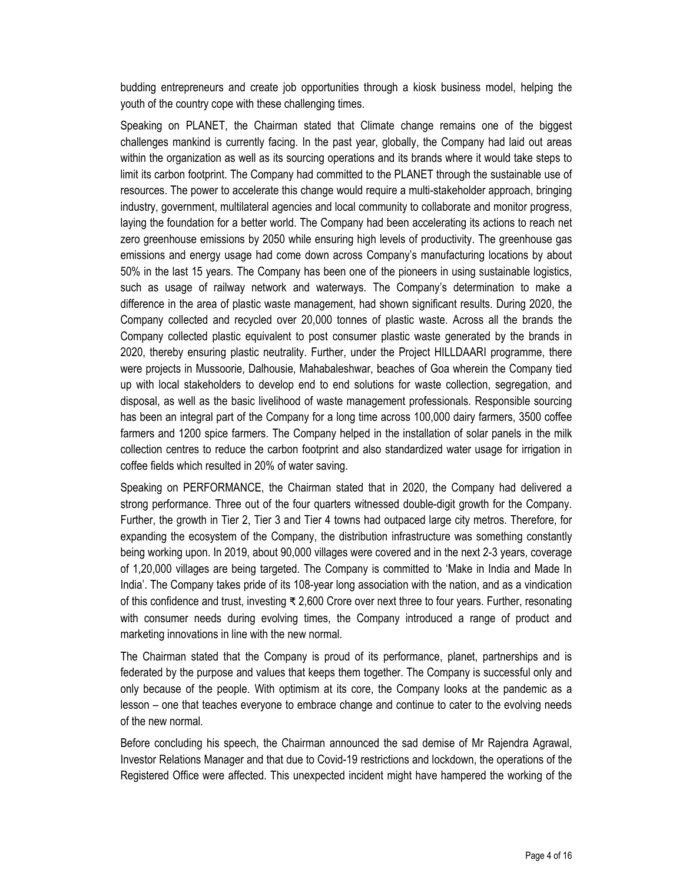budding entrepreneurs and create job opportunities through a kiosk business model, helping the youth of the country cope with these challenging times.

Speaking on PLANET, the Chairman stated that Climate change remains one of the biggest challenges mankind is currently facing. In the past year, globally, the Company had laid out areas within the organization as well as its sourcing operations and its brands where it would take steps to limit its carbon footprint. The Company had committed to the PLANET through the sustainable use of resources. The power to accelerate this change would require a multi-stakeholder approach, bringing industry, government, multilateral agencies and local community to collaborate and monitor progress, laying the foundation for a better world. The Company had been accelerating its actions to reach net zero greenhouse emissions by 2050 while ensuring high levels of productivity. The greenhouse gas emissions and energy usage had come down across Company's manufacturing locations by about 50% in the last 15 years. The Company has been one of the pioneers in using sustainable logistics, such as usage of railway network and waterways. The Company's determination to make a difference in the area of plastic waste management, had shown significant results. During 2020, the Company collected and recycled over 20,000 tonnes of plastic waste. Across all the brands the Company collected plastic equivalent to post consumer plastic waste generated by the brands in 2020, thereby ensuring plastic neutrality. Further, under the Project HILLDAARI programme, there were projects in Mussoorie, Dalhousie, Mahabaleshwar, beaches of Goa wherein the Company tied up with local stakeholders to develop end to end solutions for waste collection, segregation, and disposal, as well as the basic livelihood of waste management professionals. Responsible sourcing has been an integral part of the Company for a long time across 100,000 dairy farmers, 3500 coffee farmers and 1200 spice farmers. The Company helped in the installation of solar panels in the milk collection centres to reduce the carbon footprint and also standardized water usage for irrigation in coffee fields which resulted in 20% of water saving.

Speaking on PERFORMANCE, the Chairman stated that in 2020, the Company had delivered a strong performance. Three out of the four quarters witnessed double-digit growth for the Company. Further, the growth in Tier 2, Tier 3 and Tier 4 towns had outpaced large city metros. Therefore, for expanding the ecosystem of the Company, the distribution infrastructure was something constantly being working upon. In 2019, about 90,000 villages were covered and in the next 2-3 years, coverage of 1,20,000 villages are being targeted. The Company is committed to 'Make in India and Made In India'. The Company takes pride of its 108-year long association with the nation, and as a vindication of this confidence and trust, investing ₹ 2,600 Crore over next three to four years. Further, resonating with consumer needs during evolving times, the Company introduced a range of product and marketing innovations in line with the new normal.

The Chairman stated that the Company is proud of its performance, planet, partnerships and is federated by the purpose and values that keeps them together. The Company is successful only and only because of the people. With optimism at its core, the Company looks at the pandemic as a lesson – one that teaches everyone to embrace change and continue to cater to the evolving needs of the new normal.

Before concluding his speech, the Chairman announced the sad demise of Mr Rajendra Agrawal, Investor Relations Manager and that due to Covid-19 restrictions and lockdown, the operations of the Registered Office were affected. This unexpected incident might have hampered the working of the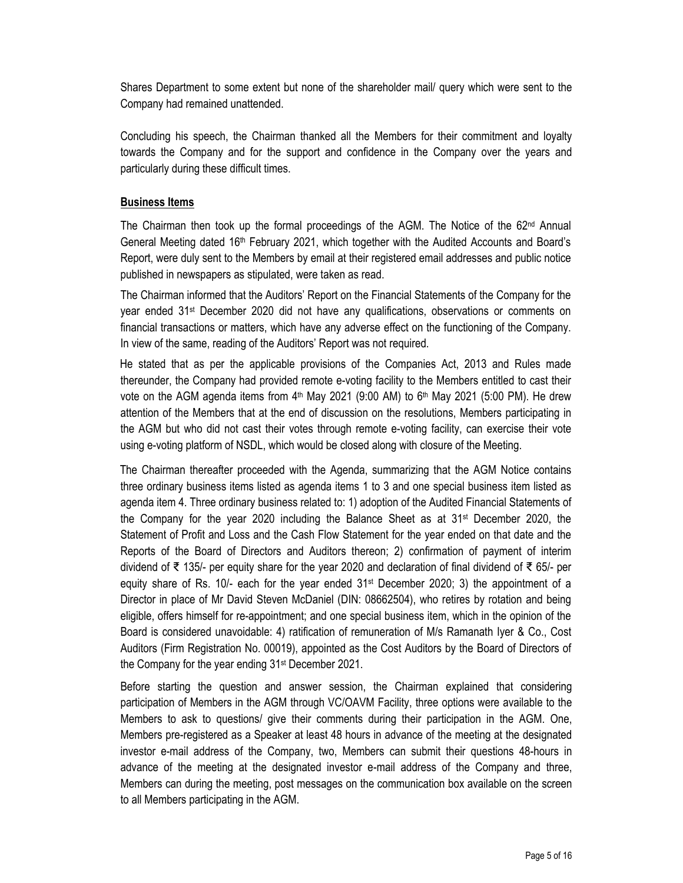Shares Department to some extent but none of the shareholder mail/ query which were sent to the Company had remained unattended.

Concluding his speech, the Chairman thanked all the Members for their commitment and loyalty towards the Company and for the support and confidence in the Company over the years and particularly during these difficult times.

# **Business Items**

The Chairman then took up the formal proceedings of the AGM. The Notice of the 62nd Annual General Meeting dated 16<sup>th</sup> February 2021, which together with the Audited Accounts and Board's Report, were duly sent to the Members by email at their registered email addresses and public notice published in newspapers as stipulated, were taken as read.

The Chairman informed that the Auditors' Report on the Financial Statements of the Company for the year ended 31st December 2020 did not have any qualifications, observations or comments on financial transactions or matters, which have any adverse effect on the functioning of the Company. In view of the same, reading of the Auditors' Report was not required.

He stated that as per the applicable provisions of the Companies Act, 2013 and Rules made thereunder, the Company had provided remote e-voting facility to the Members entitled to cast their vote on the AGM agenda items from 4<sup>th</sup> May 2021 (9:00 AM) to 6<sup>th</sup> May 2021 (5:00 PM). He drew attention of the Members that at the end of discussion on the resolutions, Members participating in the AGM but who did not cast their votes through remote e-voting facility, can exercise their vote using e-voting platform of NSDL, which would be closed along with closure of the Meeting.

The Chairman thereafter proceeded with the Agenda, summarizing that the AGM Notice contains three ordinary business items listed as agenda items 1 to 3 and one special business item listed as agenda item 4. Three ordinary business related to: 1) adoption of the Audited Financial Statements of the Company for the year 2020 including the Balance Sheet as at 31<sup>st</sup> December 2020, the Statement of Profit and Loss and the Cash Flow Statement for the year ended on that date and the Reports of the Board of Directors and Auditors thereon; 2) confirmation of payment of interim dividend of ₹ 135/- per equity share for the year 2020 and declaration of final dividend of ₹ 65/- per equity share of Rs. 10/- each for the year ended  $31<sup>st</sup>$  December 2020; 3) the appointment of a Director in place of Mr David Steven McDaniel (DIN: 08662504), who retires by rotation and being eligible, offers himself for re-appointment; and one special business item, which in the opinion of the Board is considered unavoidable: 4) ratification of remuneration of M/s Ramanath Iyer & Co., Cost Auditors (Firm Registration No. 00019), appointed as the Cost Auditors by the Board of Directors of the Company for the year ending 31st December 2021.

Before starting the question and answer session, the Chairman explained that considering participation of Members in the AGM through VC/OAVM Facility, three options were available to the Members to ask to questions/ give their comments during their participation in the AGM. One, Members pre-registered as a Speaker at least 48 hours in advance of the meeting at the designated investor e-mail address of the Company, two, Members can submit their questions 48-hours in advance of the meeting at the designated investor e-mail address of the Company and three, Members can during the meeting, post messages on the communication box available on the screen to all Members participating in the AGM.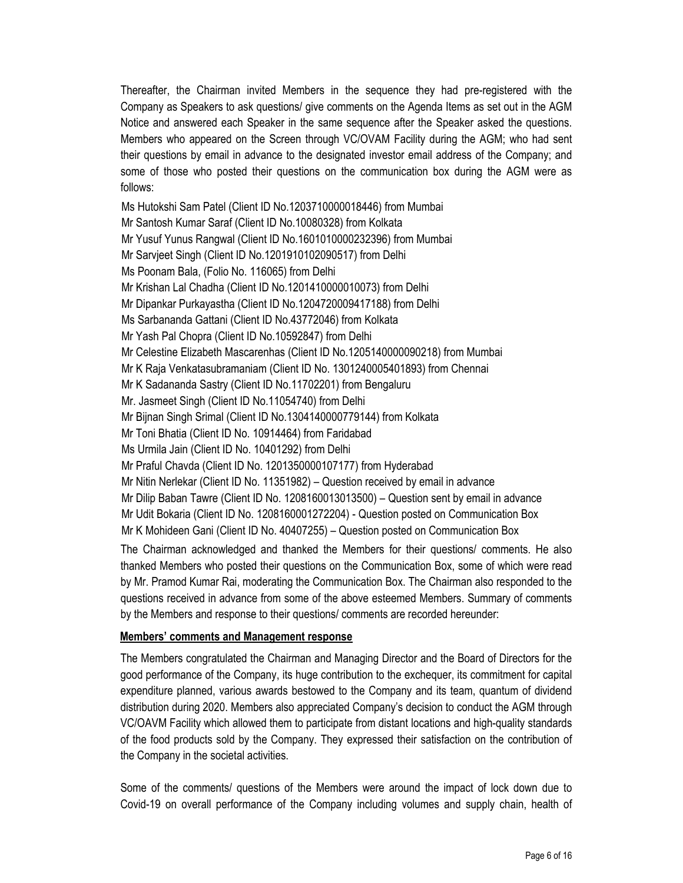Thereafter, the Chairman invited Members in the sequence they had pre-registered with the Company as Speakers to ask questions/ give comments on the Agenda Items as set out in the AGM Notice and answered each Speaker in the same sequence after the Speaker asked the questions. Members who appeared on the Screen through VC/OVAM Facility during the AGM; who had sent their questions by email in advance to the designated investor email address of the Company; and some of those who posted their questions on the communication box during the AGM were as follows:

Ms Hutokshi Sam Patel (Client ID No.1203710000018446) from Mumbai Mr Santosh Kumar Saraf (Client ID No.10080328) from Kolkata Mr Yusuf Yunus Rangwal (Client ID No.1601010000232396) from Mumbai Mr Sarvjeet Singh (Client ID No.1201910102090517) from Delhi Ms Poonam Bala, (Folio No. 116065) from Delhi Mr Krishan Lal Chadha (Client ID No.1201410000010073) from Delhi Mr Dipankar Purkayastha (Client ID No.1204720009417188) from Delhi Ms Sarbananda Gattani (Client ID No.43772046) from Kolkata Mr Yash Pal Chopra (Client ID No.10592847) from Delhi Mr Celestine Elizabeth Mascarenhas (Client ID No.1205140000090218) from Mumbai Mr K Raja Venkatasubramaniam (Client ID No. 1301240005401893) from Chennai Mr K Sadananda Sastry (Client ID No.11702201) from Bengaluru Mr. Jasmeet Singh (Client ID No.11054740) from Delhi Mr Bijnan Singh Srimal (Client ID No.1304140000779144) from Kolkata Mr Toni Bhatia (Client ID No. 10914464) from Faridabad Ms Urmila Jain (Client ID No. 10401292) from Delhi Mr Praful Chavda (Client ID No. 1201350000107177) from Hyderabad Mr Nitin Nerlekar (Client ID No. 11351982) – Question received by email in advance Mr Dilip Baban Tawre (Client ID No. 1208160013013500) – Question sent by email in advance Mr Udit Bokaria (Client ID No. 1208160001272204) - Question posted on Communication Box Mr K Mohideen Gani (Client ID No. 40407255) – Question posted on Communication Box The Chairman acknowledged and thanked the Members for their questions/ comments. He also thanked Members who posted their questions on the Communication Box, some of which were read by Mr. Pramod Kumar Rai, moderating the Communication Box. The Chairman also responded to the

questions received in advance from some of the above esteemed Members. Summary of comments by the Members and response to their questions/ comments are recorded hereunder:

#### **Members' comments and Management response**

The Members congratulated the Chairman and Managing Director and the Board of Directors for the good performance of the Company, its huge contribution to the exchequer, its commitment for capital expenditure planned, various awards bestowed to the Company and its team, quantum of dividend distribution during 2020. Members also appreciated Company's decision to conduct the AGM through VC/OAVM Facility which allowed them to participate from distant locations and high-quality standards of the food products sold by the Company. They expressed their satisfaction on the contribution of the Company in the societal activities.

Some of the comments/ questions of the Members were around the impact of lock down due to Covid-19 on overall performance of the Company including volumes and supply chain, health of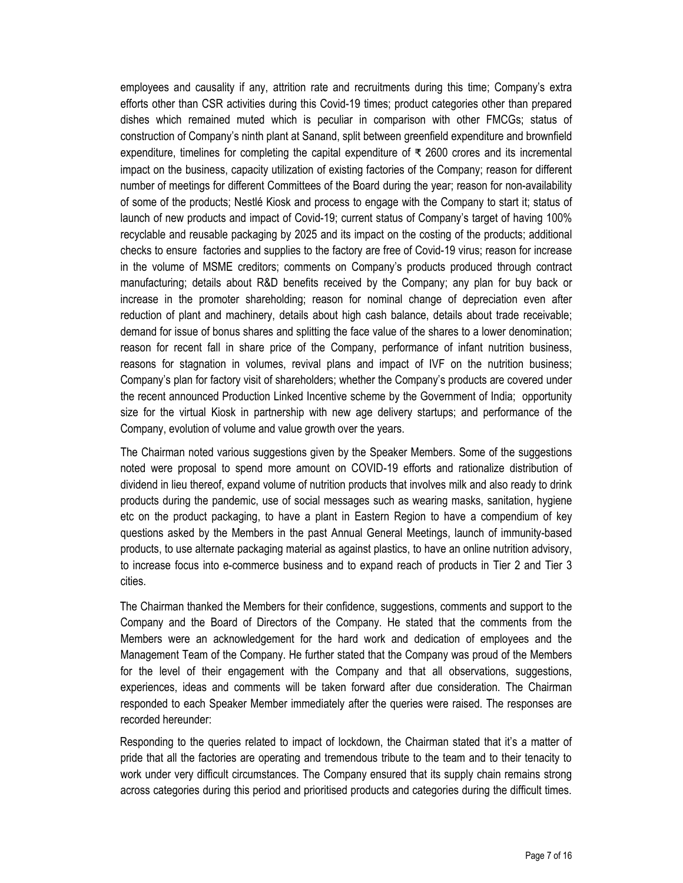employees and causality if any, attrition rate and recruitments during this time; Company's extra efforts other than CSR activities during this Covid-19 times; product categories other than prepared dishes which remained muted which is peculiar in comparison with other FMCGs; status of construction of Company's ninth plant at Sanand, split between greenfield expenditure and brownfield expenditure, timelines for completing the capital expenditure of ₹ 2600 crores and its incremental impact on the business, capacity utilization of existing factories of the Company; reason for different number of meetings for different Committees of the Board during the year; reason for non-availability of some of the products; Nestlé Kiosk and process to engage with the Company to start it; status of launch of new products and impact of Covid-19; current status of Company's target of having 100% recyclable and reusable packaging by 2025 and its impact on the costing of the products; additional checks to ensure factories and supplies to the factory are free of Covid-19 virus; reason for increase in the volume of MSME creditors; comments on Company's products produced through contract manufacturing; details about R&D benefits received by the Company; any plan for buy back or increase in the promoter shareholding; reason for nominal change of depreciation even after reduction of plant and machinery, details about high cash balance, details about trade receivable; demand for issue of bonus shares and splitting the face value of the shares to a lower denomination; reason for recent fall in share price of the Company, performance of infant nutrition business, reasons for stagnation in volumes, revival plans and impact of IVF on the nutrition business; Company's plan for factory visit of shareholders; whether the Company's products are covered under the recent announced Production Linked Incentive scheme by the Government of India; opportunity size for the virtual Kiosk in partnership with new age delivery startups; and performance of the Company, evolution of volume and value growth over the years.

The Chairman noted various suggestions given by the Speaker Members. Some of the suggestions noted were proposal to spend more amount on COVID-19 efforts and rationalize distribution of dividend in lieu thereof, expand volume of nutrition products that involves milk and also ready to drink products during the pandemic, use of social messages such as wearing masks, sanitation, hygiene etc on the product packaging, to have a plant in Eastern Region to have a compendium of key questions asked by the Members in the past Annual General Meetings, launch of immunity-based products, to use alternate packaging material as against plastics, to have an online nutrition advisory, to increase focus into e-commerce business and to expand reach of products in Tier 2 and Tier 3 cities.

The Chairman thanked the Members for their confidence, suggestions, comments and support to the Company and the Board of Directors of the Company. He stated that the comments from the Members were an acknowledgement for the hard work and dedication of employees and the Management Team of the Company. He further stated that the Company was proud of the Members for the level of their engagement with the Company and that all observations, suggestions, experiences, ideas and comments will be taken forward after due consideration. The Chairman responded to each Speaker Member immediately after the queries were raised. The responses are recorded hereunder:

Responding to the queries related to impact of lockdown, the Chairman stated that it's a matter of pride that all the factories are operating and tremendous tribute to the team and to their tenacity to work under very difficult circumstances. The Company ensured that its supply chain remains strong across categories during this period and prioritised products and categories during the difficult times.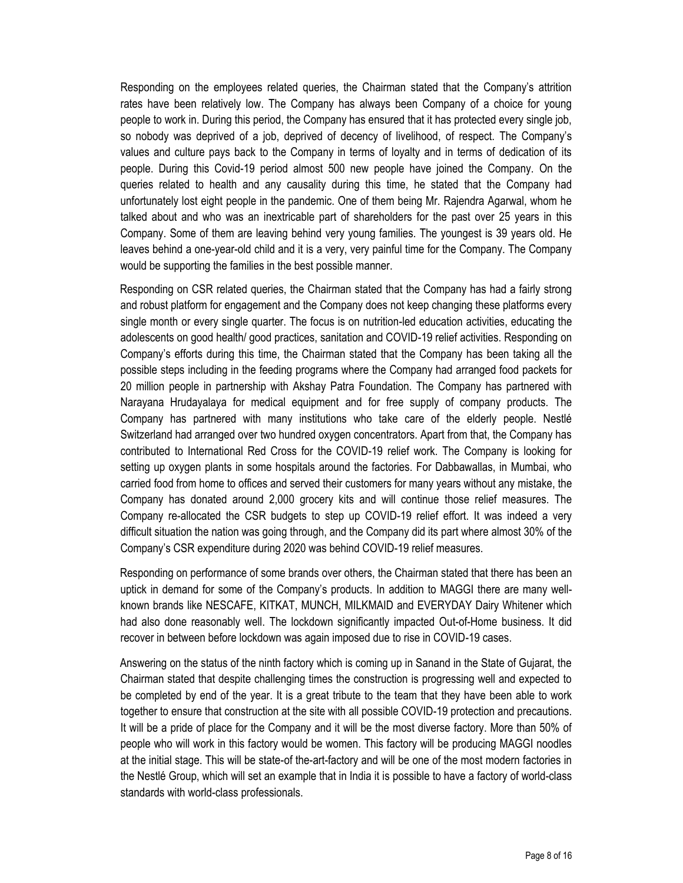Responding on the employees related queries, the Chairman stated that the Company's attrition rates have been relatively low. The Company has always been Company of a choice for young people to work in. During this period, the Company has ensured that it has protected every single job, so nobody was deprived of a job, deprived of decency of livelihood, of respect. The Company's values and culture pays back to the Company in terms of loyalty and in terms of dedication of its people. During this Covid-19 period almost 500 new people have joined the Company. On the queries related to health and any causality during this time, he stated that the Company had unfortunately lost eight people in the pandemic. One of them being Mr. Rajendra Agarwal, whom he talked about and who was an inextricable part of shareholders for the past over 25 years in this Company. Some of them are leaving behind very young families. The youngest is 39 years old. He leaves behind a one-year-old child and it is a very, very painful time for the Company. The Company would be supporting the families in the best possible manner.

Responding on CSR related queries, the Chairman stated that the Company has had a fairly strong and robust platform for engagement and the Company does not keep changing these platforms every single month or every single quarter. The focus is on nutrition-led education activities, educating the adolescents on good health/ good practices, sanitation and COVID-19 relief activities. Responding on Company's efforts during this time, the Chairman stated that the Company has been taking all the possible steps including in the feeding programs where the Company had arranged food packets for 20 million people in partnership with Akshay Patra Foundation. The Company has partnered with Narayana Hrudayalaya for medical equipment and for free supply of company products. The Company has partnered with many institutions who take care of the elderly people. Nestlé Switzerland had arranged over two hundred oxygen concentrators. Apart from that, the Company has contributed to International Red Cross for the COVID-19 relief work. The Company is looking for setting up oxygen plants in some hospitals around the factories. For Dabbawallas, in Mumbai, who carried food from home to offices and served their customers for many years without any mistake, the Company has donated around 2,000 grocery kits and will continue those relief measures. The Company re-allocated the CSR budgets to step up COVID-19 relief effort. It was indeed a very difficult situation the nation was going through, and the Company did its part where almost 30% of the Company's CSR expenditure during 2020 was behind COVID-19 relief measures.

Responding on performance of some brands over others, the Chairman stated that there has been an uptick in demand for some of the Company's products. In addition to MAGGI there are many wellknown brands like NESCAFE, KITKAT, MUNCH, MILKMAID and EVERYDAY Dairy Whitener which had also done reasonably well. The lockdown significantly impacted Out-of-Home business. It did recover in between before lockdown was again imposed due to rise in COVID-19 cases.

Answering on the status of the ninth factory which is coming up in Sanand in the State of Gujarat, the Chairman stated that despite challenging times the construction is progressing well and expected to be completed by end of the year. It is a great tribute to the team that they have been able to work together to ensure that construction at the site with all possible COVID-19 protection and precautions. It will be a pride of place for the Company and it will be the most diverse factory. More than 50% of people who will work in this factory would be women. This factory will be producing MAGGI noodles at the initial stage. This will be state-of the-art-factory and will be one of the most modern factories in the Nestlé Group, which will set an example that in India it is possible to have a factory of world-class standards with world-class professionals.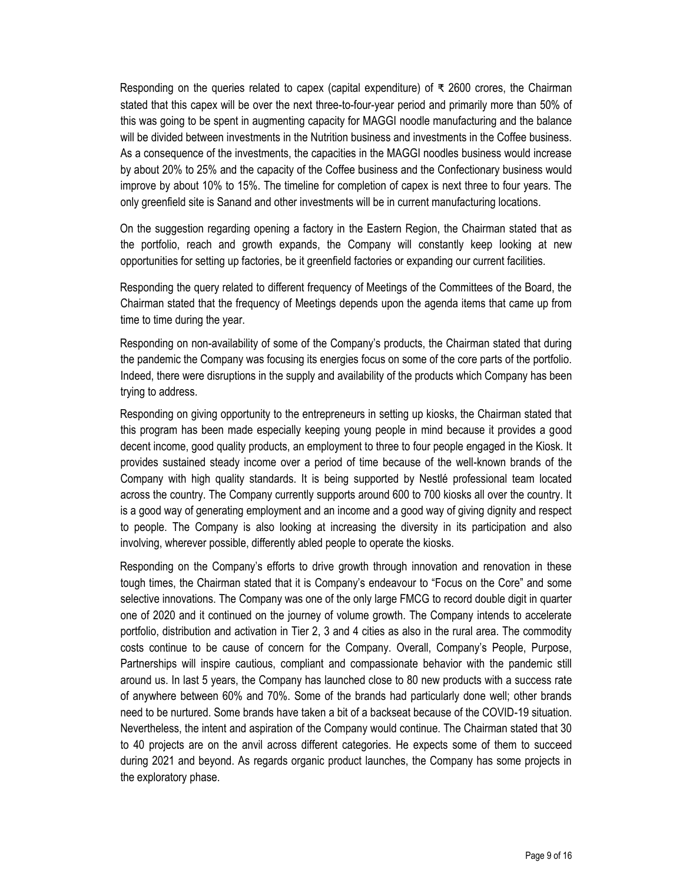Responding on the queries related to capex (capital expenditure) of ₹ 2600 crores, the Chairman stated that this capex will be over the next three-to-four-year period and primarily more than 50% of this was going to be spent in augmenting capacity for MAGGI noodle manufacturing and the balance will be divided between investments in the Nutrition business and investments in the Coffee business. As a consequence of the investments, the capacities in the MAGGI noodles business would increase by about 20% to 25% and the capacity of the Coffee business and the Confectionary business would improve by about 10% to 15%. The timeline for completion of capex is next three to four years. The only greenfield site is Sanand and other investments will be in current manufacturing locations.

On the suggestion regarding opening a factory in the Eastern Region, the Chairman stated that as the portfolio, reach and growth expands, the Company will constantly keep looking at new opportunities for setting up factories, be it greenfield factories or expanding our current facilities.

Responding the query related to different frequency of Meetings of the Committees of the Board, the Chairman stated that the frequency of Meetings depends upon the agenda items that came up from time to time during the year.

Responding on non-availability of some of the Company's products, the Chairman stated that during the pandemic the Company was focusing its energies focus on some of the core parts of the portfolio. Indeed, there were disruptions in the supply and availability of the products which Company has been trying to address.

Responding on giving opportunity to the entrepreneurs in setting up kiosks, the Chairman stated that this program has been made especially keeping young people in mind because it provides a good decent income, good quality products, an employment to three to four people engaged in the Kiosk. It provides sustained steady income over a period of time because of the well-known brands of the Company with high quality standards. It is being supported by Nestlé professional team located across the country. The Company currently supports around 600 to 700 kiosks all over the country. It is a good way of generating employment and an income and a good way of giving dignity and respect to people. The Company is also looking at increasing the diversity in its participation and also involving, wherever possible, differently abled people to operate the kiosks.

Responding on the Company's efforts to drive growth through innovation and renovation in these tough times, the Chairman stated that it is Company's endeavour to "Focus on the Core" and some selective innovations. The Company was one of the only large FMCG to record double digit in quarter one of 2020 and it continued on the journey of volume growth. The Company intends to accelerate portfolio, distribution and activation in Tier 2, 3 and 4 cities as also in the rural area. The commodity costs continue to be cause of concern for the Company. Overall, Company's People, Purpose, Partnerships will inspire cautious, compliant and compassionate behavior with the pandemic still around us. In last 5 years, the Company has launched close to 80 new products with a success rate of anywhere between 60% and 70%. Some of the brands had particularly done well; other brands need to be nurtured. Some brands have taken a bit of a backseat because of the COVID-19 situation. Nevertheless, the intent and aspiration of the Company would continue. The Chairman stated that 30 to 40 projects are on the anvil across different categories. He expects some of them to succeed during 2021 and beyond. As regards organic product launches, the Company has some projects in the exploratory phase.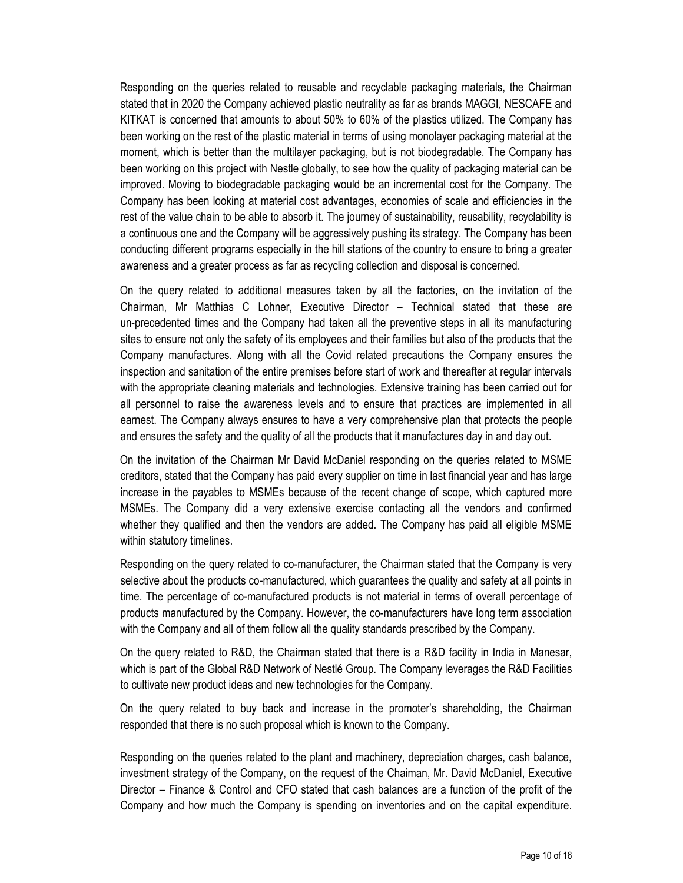Responding on the queries related to reusable and recyclable packaging materials, the Chairman stated that in 2020 the Company achieved plastic neutrality as far as brands MAGGI, NESCAFE and KITKAT is concerned that amounts to about 50% to 60% of the plastics utilized. The Company has been working on the rest of the plastic material in terms of using monolayer packaging material at the moment, which is better than the multilayer packaging, but is not biodegradable. The Company has been working on this project with Nestle globally, to see how the quality of packaging material can be improved. Moving to biodegradable packaging would be an incremental cost for the Company. The Company has been looking at material cost advantages, economies of scale and efficiencies in the rest of the value chain to be able to absorb it. The journey of sustainability, reusability, recyclability is a continuous one and the Company will be aggressively pushing its strategy. The Company has been conducting different programs especially in the hill stations of the country to ensure to bring a greater awareness and a greater process as far as recycling collection and disposal is concerned.

On the query related to additional measures taken by all the factories, on the invitation of the Chairman, Mr Matthias C Lohner, Executive Director – Technical stated that these are un-precedented times and the Company had taken all the preventive steps in all its manufacturing sites to ensure not only the safety of its employees and their families but also of the products that the Company manufactures. Along with all the Covid related precautions the Company ensures the inspection and sanitation of the entire premises before start of work and thereafter at regular intervals with the appropriate cleaning materials and technologies. Extensive training has been carried out for all personnel to raise the awareness levels and to ensure that practices are implemented in all earnest. The Company always ensures to have a very comprehensive plan that protects the people and ensures the safety and the quality of all the products that it manufactures day in and day out.

On the invitation of the Chairman Mr David McDaniel responding on the queries related to MSME creditors, stated that the Company has paid every supplier on time in last financial year and has large increase in the payables to MSMEs because of the recent change of scope, which captured more MSMEs. The Company did a very extensive exercise contacting all the vendors and confirmed whether they qualified and then the vendors are added. The Company has paid all eligible MSME within statutory timelines.

Responding on the query related to co-manufacturer, the Chairman stated that the Company is very selective about the products co-manufactured, which guarantees the quality and safety at all points in time. The percentage of co-manufactured products is not material in terms of overall percentage of products manufactured by the Company. However, the co-manufacturers have long term association with the Company and all of them follow all the quality standards prescribed by the Company.

On the query related to R&D, the Chairman stated that there is a R&D facility in India in Manesar, which is part of the Global R&D Network of Nestlé Group. The Company leverages the R&D Facilities to cultivate new product ideas and new technologies for the Company.

On the query related to buy back and increase in the promoter's shareholding, the Chairman responded that there is no such proposal which is known to the Company.

Responding on the queries related to the plant and machinery, depreciation charges, cash balance, investment strategy of the Company, on the request of the Chaiman, Mr. David McDaniel, Executive Director – Finance & Control and CFO stated that cash balances are a function of the profit of the Company and how much the Company is spending on inventories and on the capital expenditure.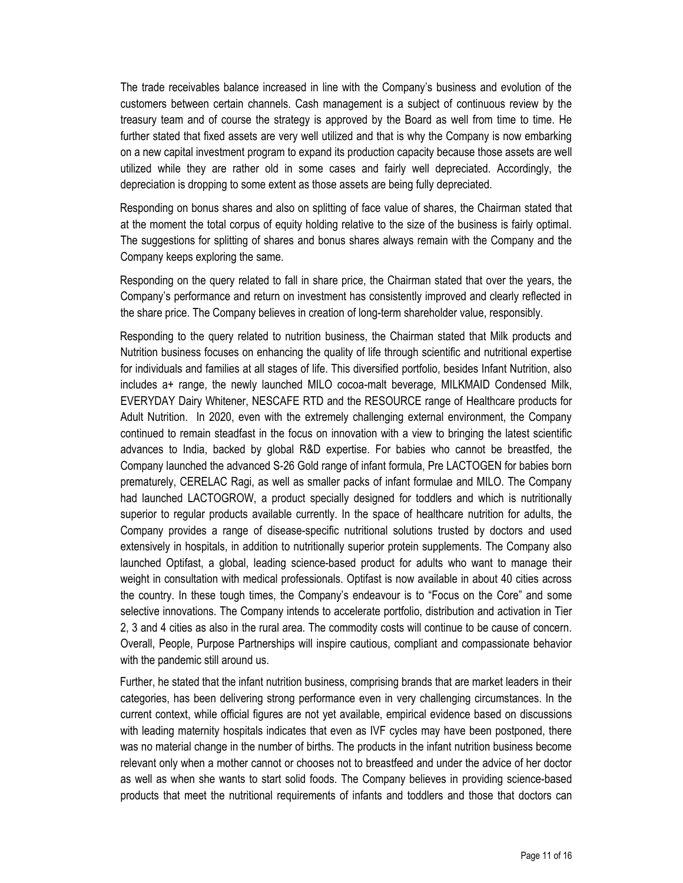The trade receivables balance increased in line with the Company's business and evolution of the customers between certain channels. Cash management is a subject of continuous review by the treasury team and of course the strategy is approved by the Board as well from time to time. He further stated that fixed assets are very well utilized and that is why the Company is now embarking on a new capital investment program to expand its production capacity because those assets are well utilized while they are rather old in some cases and fairly well depreciated. Accordingly, the depreciation is dropping to some extent as those assets are being fully depreciated.

Responding on bonus shares and also on splitting of face value of shares, the Chairman stated that at the moment the total corpus of equity holding relative to the size of the business is fairly optimal. The suggestions for splitting of shares and bonus shares always remain with the Company and the Company keeps exploring the same.

Responding on the query related to fall in share price, the Chairman stated that over the years, the Company's performance and return on investment has consistently improved and clearly reflected in the share price. The Company believes in creation of long-term shareholder value, responsibly.

Responding to the query related to nutrition business, the Chairman stated that Milk products and Nutrition business focuses on enhancing the quality of life through scientific and nutritional expertise for individuals and families at all stages of life. This diversified portfolio, besides Infant Nutrition, also includes a+ range, the newly launched MILO cocoa-malt beverage, MILKMAID Condensed Milk, EVERYDAY Dairy Whitener, NESCAFE RTD and the RESOURCE range of Healthcare products for Adult Nutrition. In 2020, even with the extremely challenging external environment, the Company continued to remain steadfast in the focus on innovation with a view to bringing the latest scientific advances to India, backed by global R&D expertise. For babies who cannot be breastfed, the Company launched the advanced S-26 Gold range of infant formula, Pre LACTOGEN for babies born prematurely, CERELAC Ragi, as well as smaller packs of infant formulae and MILO. The Company had launched LACTOGROW, a product specially designed for toddlers and which is nutritionally superior to regular products available currently. In the space of healthcare nutrition for adults, the Company provides a range of disease-specific nutritional solutions trusted by doctors and used extensively in hospitals, in addition to nutritionally superior protein supplements. The Company also launched Optifast, a global, leading science-based product for adults who want to manage their weight in consultation with medical professionals. Optifast is now available in about 40 cities across the country. In these tough times, the Company's endeavour is to "Focus on the Core" and some selective innovations. The Company intends to accelerate portfolio, distribution and activation in Tier 2, 3 and 4 cities as also in the rural area. The commodity costs will continue to be cause of concern. Overall, People, Purpose Partnerships will inspire cautious, compliant and compassionate behavior with the pandemic still around us.

Further, he stated that the infant nutrition business, comprising brands that are market leaders in their categories, has been delivering strong performance even in very challenging circumstances. In the current context, while official figures are not yet available, empirical evidence based on discussions with leading maternity hospitals indicates that even as IVF cycles may have been postponed, there was no material change in the number of births. The products in the infant nutrition business become relevant only when a mother cannot or chooses not to breastfeed and under the advice of her doctor as well as when she wants to start solid foods. The Company believes in providing science-based products that meet the nutritional requirements of infants and toddlers and those that doctors can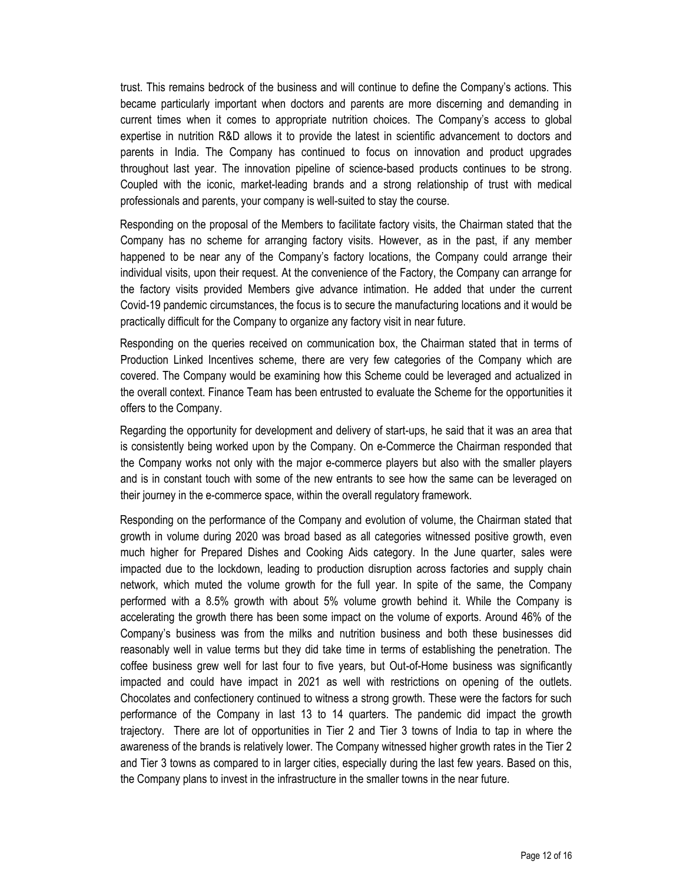trust. This remains bedrock of the business and will continue to define the Company's actions. This became particularly important when doctors and parents are more discerning and demanding in current times when it comes to appropriate nutrition choices. The Company's access to global expertise in nutrition R&D allows it to provide the latest in scientific advancement to doctors and parents in India. The Company has continued to focus on innovation and product upgrades throughout last year. The innovation pipeline of science-based products continues to be strong. Coupled with the iconic, market-leading brands and a strong relationship of trust with medical professionals and parents, your company is well-suited to stay the course.

Responding on the proposal of the Members to facilitate factory visits, the Chairman stated that the Company has no scheme for arranging factory visits. However, as in the past, if any member happened to be near any of the Company's factory locations, the Company could arrange their individual visits, upon their request. At the convenience of the Factory, the Company can arrange for the factory visits provided Members give advance intimation. He added that under the current Covid-19 pandemic circumstances, the focus is to secure the manufacturing locations and it would be practically difficult for the Company to organize any factory visit in near future.

Responding on the queries received on communication box, the Chairman stated that in terms of Production Linked Incentives scheme, there are very few categories of the Company which are covered. The Company would be examining how this Scheme could be leveraged and actualized in the overall context. Finance Team has been entrusted to evaluate the Scheme for the opportunities it offers to the Company.

Regarding the opportunity for development and delivery of start-ups, he said that it was an area that is consistently being worked upon by the Company. On e-Commerce the Chairman responded that the Company works not only with the major e-commerce players but also with the smaller players and is in constant touch with some of the new entrants to see how the same can be leveraged on their journey in the e-commerce space, within the overall regulatory framework.

Responding on the performance of the Company and evolution of volume, the Chairman stated that growth in volume during 2020 was broad based as all categories witnessed positive growth, even much higher for Prepared Dishes and Cooking Aids category. In the June quarter, sales were impacted due to the lockdown, leading to production disruption across factories and supply chain network, which muted the volume growth for the full year. In spite of the same, the Company performed with a 8.5% growth with about 5% volume growth behind it. While the Company is accelerating the growth there has been some impact on the volume of exports. Around 46% of the Company's business was from the milks and nutrition business and both these businesses did reasonably well in value terms but they did take time in terms of establishing the penetration. The coffee business grew well for last four to five years, but Out-of-Home business was significantly impacted and could have impact in 2021 as well with restrictions on opening of the outlets. Chocolates and confectionery continued to witness a strong growth. These were the factors for such performance of the Company in last 13 to 14 quarters. The pandemic did impact the growth trajectory. There are lot of opportunities in Tier 2 and Tier 3 towns of India to tap in where the awareness of the brands is relatively lower. The Company witnessed higher growth rates in the Tier 2 and Tier 3 towns as compared to in larger cities, especially during the last few years. Based on this, the Company plans to invest in the infrastructure in the smaller towns in the near future.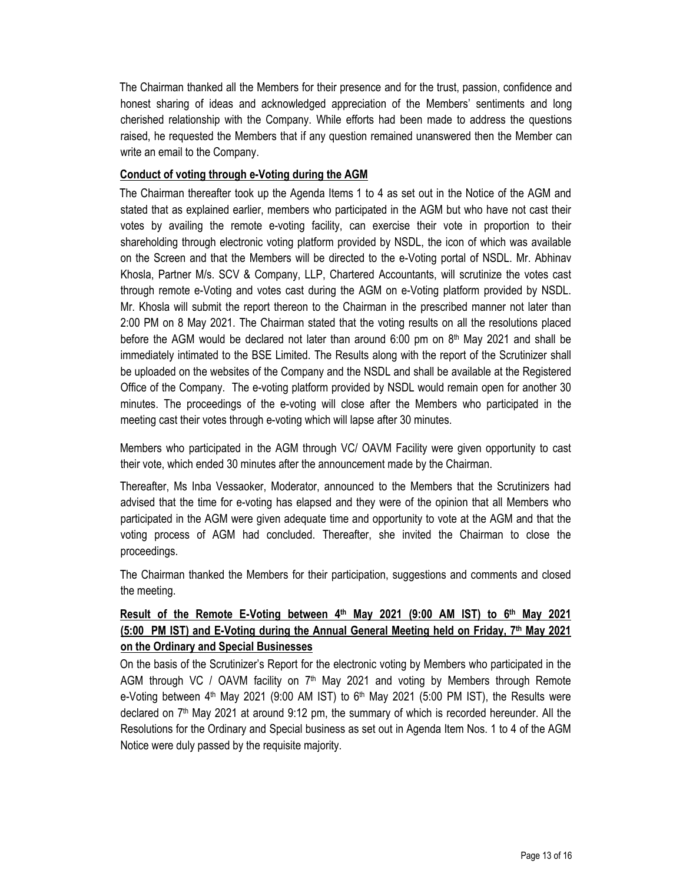The Chairman thanked all the Members for their presence and for the trust, passion, confidence and honest sharing of ideas and acknowledged appreciation of the Members' sentiments and long cherished relationship with the Company. While efforts had been made to address the questions raised, he requested the Members that if any question remained unanswered then the Member can write an email to the Company.

#### **Conduct of voting through e-Voting during the AGM**

The Chairman thereafter took up the Agenda Items 1 to 4 as set out in the Notice of the AGM and stated that as explained earlier, members who participated in the AGM but who have not cast their votes by availing the remote e-voting facility, can exercise their vote in proportion to their shareholding through electronic voting platform provided by NSDL, the icon of which was available on the Screen and that the Members will be directed to the e-Voting portal of NSDL. Mr. Abhinav Khosla, Partner M/s. SCV & Company, LLP, Chartered Accountants, will scrutinize the votes cast through remote e-Voting and votes cast during the AGM on e-Voting platform provided by NSDL. Mr. Khosla will submit the report thereon to the Chairman in the prescribed manner not later than 2:00 PM on 8 May 2021. The Chairman stated that the voting results on all the resolutions placed before the AGM would be declared not later than around 6:00 pm on  $8<sup>th</sup>$  May 2021 and shall be immediately intimated to the BSE Limited. The Results along with the report of the Scrutinizer shall be uploaded on the websites of the Company and the NSDL and shall be available at the Registered Office of the Company. The e-voting platform provided by NSDL would remain open for another 30 minutes. The proceedings of the e-voting will close after the Members who participated in the meeting cast their votes through e-voting which will lapse after 30 minutes.

Members who participated in the AGM through VC/ OAVM Facility were given opportunity to cast their vote, which ended 30 minutes after the announcement made by the Chairman.

Thereafter, Ms Inba Vessaoker, Moderator, announced to the Members that the Scrutinizers had advised that the time for e-voting has elapsed and they were of the opinion that all Members who participated in the AGM were given adequate time and opportunity to vote at the AGM and that the voting process of AGM had concluded. Thereafter, she invited the Chairman to close the proceedings.

The Chairman thanked the Members for their participation, suggestions and comments and closed the meeting.

# **Result of the Remote E-Voting between 4<sup>th</sup> May 2021 (9:00 AM IST) to 6<sup>th</sup> May 2021 (5:00 PM IST) and E-Voting during the Annual General Meeting held on Friday, 7 th May 2021 on the Ordinary and Special Businesses**

On the basis of the Scrutinizer's Report for the electronic voting by Members who participated in the AGM through VC / OAVM facility on  $7<sup>th</sup>$  May 2021 and voting by Members through Remote e-Voting between  $4<sup>th</sup>$  May 2021 (9:00 AM IST) to  $6<sup>th</sup>$  May 2021 (5:00 PM IST), the Results were declared on 7<sup>th</sup> May 2021 at around 9:12 pm, the summary of which is recorded hereunder. All the Resolutions for the Ordinary and Special business as set out in Agenda Item Nos. 1 to 4 of the AGM Notice were duly passed by the requisite majority.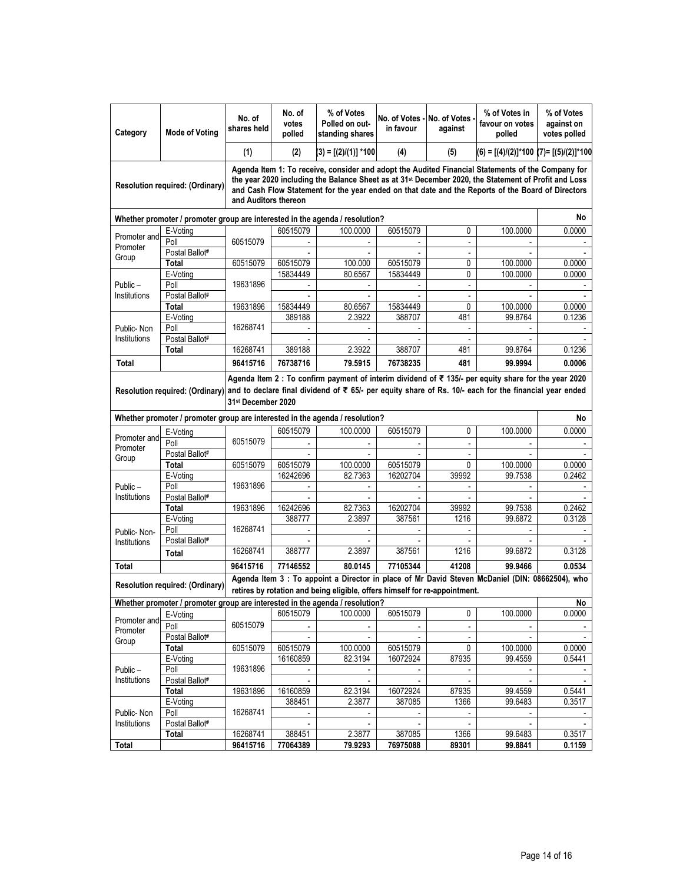| Category                                                                                                                                                                                                         | <b>Mode of Votina</b>                                                                                                                                                                                                                                                                  | No. of<br>No. of<br>votes<br>shares held<br>polled                                                                                                                                                                                                                                                                                                 |                    | % of Votes<br>Polled on out-<br>standing shares | No. of Votes - No. of Votes<br>in favour | against                       | % of Votes in<br>favour on votes<br>polled      | % of Votes<br>against on<br>votes polled |  |  |
|------------------------------------------------------------------------------------------------------------------------------------------------------------------------------------------------------------------|----------------------------------------------------------------------------------------------------------------------------------------------------------------------------------------------------------------------------------------------------------------------------------------|----------------------------------------------------------------------------------------------------------------------------------------------------------------------------------------------------------------------------------------------------------------------------------------------------------------------------------------------------|--------------------|-------------------------------------------------|------------------------------------------|-------------------------------|-------------------------------------------------|------------------------------------------|--|--|
|                                                                                                                                                                                                                  |                                                                                                                                                                                                                                                                                        | (1)                                                                                                                                                                                                                                                                                                                                                | (2)                | (3) = [(2)/(1)] *100                            | (4)                                      | (5)                           | $(6) = [(4)/(2)]^{*}100 (7) = [(5)/(2)]^{*}100$ |                                          |  |  |
|                                                                                                                                                                                                                  | Resolution required: (Ordinary)                                                                                                                                                                                                                                                        | Agenda Item 1: To receive, consider and adopt the Audited Financial Statements of the Company for<br>the year 2020 including the Balance Sheet as at 31 <sup>st</sup> December 2020, the Statement of Profit and Loss<br>and Cash Flow Statement for the year ended on that date and the Reports of the Board of Directors<br>and Auditors thereon |                    |                                                 |                                          |                               |                                                 |                                          |  |  |
| Whether promoter / promoter group are interested in the agenda / resolution?                                                                                                                                     |                                                                                                                                                                                                                                                                                        |                                                                                                                                                                                                                                                                                                                                                    |                    |                                                 |                                          |                               |                                                 |                                          |  |  |
| Promoter and<br>Promoter                                                                                                                                                                                         | E-Voting                                                                                                                                                                                                                                                                               |                                                                                                                                                                                                                                                                                                                                                    | 60515079           | 100.0000                                        | 60515079                                 | 0                             | 100.0000                                        | 0.0000                                   |  |  |
|                                                                                                                                                                                                                  | Poll                                                                                                                                                                                                                                                                                   | 60515079                                                                                                                                                                                                                                                                                                                                           |                    |                                                 |                                          |                               |                                                 |                                          |  |  |
| Group                                                                                                                                                                                                            | Postal Ballot <sup>#</sup><br>Total                                                                                                                                                                                                                                                    | 60515079                                                                                                                                                                                                                                                                                                                                           | 60515079           | 100.000                                         | 60515079                                 | $\overline{\phantom{a}}$<br>0 | 100.0000                                        | 0.0000                                   |  |  |
|                                                                                                                                                                                                                  | E-Voting                                                                                                                                                                                                                                                                               |                                                                                                                                                                                                                                                                                                                                                    | 15834449           | 80.6567                                         | 15834449                                 | 0                             | 100.0000                                        | 0.0000                                   |  |  |
| Public-                                                                                                                                                                                                          | Poll                                                                                                                                                                                                                                                                                   | 19631896                                                                                                                                                                                                                                                                                                                                           |                    |                                                 |                                          | $\overline{\phantom{a}}$      |                                                 |                                          |  |  |
| Institutions                                                                                                                                                                                                     | Postal Ballot#                                                                                                                                                                                                                                                                         |                                                                                                                                                                                                                                                                                                                                                    |                    |                                                 |                                          |                               |                                                 |                                          |  |  |
|                                                                                                                                                                                                                  | Total                                                                                                                                                                                                                                                                                  | 19631896                                                                                                                                                                                                                                                                                                                                           | 15834449           | 80.6567                                         | 15834449                                 | 0                             | 100.0000                                        | 0.0000                                   |  |  |
|                                                                                                                                                                                                                  | E-Voting                                                                                                                                                                                                                                                                               |                                                                                                                                                                                                                                                                                                                                                    | 389188             | 2.3922                                          | 388707                                   | 481                           | 99.8764                                         | 0.1236                                   |  |  |
| Public-Non                                                                                                                                                                                                       | Poll                                                                                                                                                                                                                                                                                   | 16268741                                                                                                                                                                                                                                                                                                                                           |                    |                                                 |                                          |                               |                                                 |                                          |  |  |
| Institutions                                                                                                                                                                                                     | Postal Ballot#                                                                                                                                                                                                                                                                         |                                                                                                                                                                                                                                                                                                                                                    |                    |                                                 |                                          | $\overline{\phantom{a}}$      |                                                 |                                          |  |  |
|                                                                                                                                                                                                                  | Total                                                                                                                                                                                                                                                                                  | 16268741                                                                                                                                                                                                                                                                                                                                           | 389188             | 2.3922                                          | 388707                                   | 481                           | 99.8764                                         | 0.1236                                   |  |  |
| Total                                                                                                                                                                                                            |                                                                                                                                                                                                                                                                                        | 96415716                                                                                                                                                                                                                                                                                                                                           | 76738716           | 79.5915                                         | 76738235                                 | 481                           | 99.9994                                         | 0.0006                                   |  |  |
|                                                                                                                                                                                                                  | Agenda Item 2 : To confirm payment of interim dividend of $\bar{\epsilon}$ 135/- per equity share for the year 2020<br>and to declare final dividend of ₹ 65/- per equity share of Rs. 10/- each for the financial year ended<br>Resolution required: (Ordinary)<br>31st December 2020 |                                                                                                                                                                                                                                                                                                                                                    |                    |                                                 |                                          |                               |                                                 |                                          |  |  |
|                                                                                                                                                                                                                  | Whether promoter / promoter group are interested in the agenda / resolution?                                                                                                                                                                                                           |                                                                                                                                                                                                                                                                                                                                                    |                    |                                                 |                                          |                               |                                                 | No                                       |  |  |
|                                                                                                                                                                                                                  | E-Voting                                                                                                                                                                                                                                                                               |                                                                                                                                                                                                                                                                                                                                                    | 60515079           | 100.0000                                        | 60515079                                 | 0                             | 100.0000                                        | 0.0000                                   |  |  |
| Promoter and<br>Promoter                                                                                                                                                                                         | Poll                                                                                                                                                                                                                                                                                   | 60515079                                                                                                                                                                                                                                                                                                                                           |                    |                                                 |                                          |                               |                                                 |                                          |  |  |
| Group                                                                                                                                                                                                            | Postal Ballot#                                                                                                                                                                                                                                                                         |                                                                                                                                                                                                                                                                                                                                                    |                    | $\overline{a}$                                  |                                          | $\blacksquare$                |                                                 |                                          |  |  |
|                                                                                                                                                                                                                  | Total                                                                                                                                                                                                                                                                                  | 60515079                                                                                                                                                                                                                                                                                                                                           | 60515079           | 100.0000                                        | 60515079                                 | 0                             | 100.0000                                        | 0.0000                                   |  |  |
|                                                                                                                                                                                                                  | E-Voting<br>Poll                                                                                                                                                                                                                                                                       | 19631896                                                                                                                                                                                                                                                                                                                                           | 16242696           | 82.7363                                         | 16202704                                 | 39992<br>$\blacksquare$       | 99.7538                                         | 0.2462                                   |  |  |
| Public-<br>Institutions                                                                                                                                                                                          | Postal Ballot#                                                                                                                                                                                                                                                                         |                                                                                                                                                                                                                                                                                                                                                    |                    | $\overline{\phantom{a}}$                        |                                          |                               |                                                 |                                          |  |  |
|                                                                                                                                                                                                                  | Total                                                                                                                                                                                                                                                                                  | 19631896                                                                                                                                                                                                                                                                                                                                           | 16242696           | 82.7363                                         | 16202704                                 | 39992                         | 99.7538                                         | 0.2462                                   |  |  |
|                                                                                                                                                                                                                  | E-Voting                                                                                                                                                                                                                                                                               |                                                                                                                                                                                                                                                                                                                                                    | 388777             | 2.3897                                          | 387561                                   | 1216                          | 99.6872                                         | 0.3128                                   |  |  |
| Public-Non-                                                                                                                                                                                                      | Poll                                                                                                                                                                                                                                                                                   | 16268741                                                                                                                                                                                                                                                                                                                                           |                    |                                                 |                                          |                               |                                                 |                                          |  |  |
| Institutions                                                                                                                                                                                                     | Postal Ballot#                                                                                                                                                                                                                                                                         |                                                                                                                                                                                                                                                                                                                                                    |                    | $\overline{\phantom{a}}$                        |                                          |                               |                                                 |                                          |  |  |
|                                                                                                                                                                                                                  | Total                                                                                                                                                                                                                                                                                  | 16268741                                                                                                                                                                                                                                                                                                                                           | 388777             | 2.3897                                          | 387561                                   | 1216                          | 99.6872                                         | 0.3128                                   |  |  |
| Total                                                                                                                                                                                                            |                                                                                                                                                                                                                                                                                        | 96415716                                                                                                                                                                                                                                                                                                                                           | 77146552           | 80.0145                                         | 77105344                                 | 41208                         | 99.9466                                         | 0.0534                                   |  |  |
| Agenda Item 3 : To appoint a Director in place of Mr David Steven McDaniel (DIN: 08662504), who<br>Resolution required: (Ordinary)<br>retires by rotation and being eligible, offers himself for re-appointment. |                                                                                                                                                                                                                                                                                        |                                                                                                                                                                                                                                                                                                                                                    |                    |                                                 |                                          |                               |                                                 |                                          |  |  |
|                                                                                                                                                                                                                  | Whether promoter / promoter group are interested in the agenda / resolution?                                                                                                                                                                                                           |                                                                                                                                                                                                                                                                                                                                                    |                    |                                                 |                                          |                               |                                                 | No                                       |  |  |
| Promoter and                                                                                                                                                                                                     | E-Voting                                                                                                                                                                                                                                                                               |                                                                                                                                                                                                                                                                                                                                                    | 60515079           | 100.0000                                        | 60515079                                 | 0                             | 100.0000                                        | 0.0000                                   |  |  |
| Promoter                                                                                                                                                                                                         | Poll                                                                                                                                                                                                                                                                                   | 60515079                                                                                                                                                                                                                                                                                                                                           |                    | $\blacksquare$                                  |                                          |                               |                                                 |                                          |  |  |
| Group                                                                                                                                                                                                            | Postal Ballot#                                                                                                                                                                                                                                                                         |                                                                                                                                                                                                                                                                                                                                                    | 60515079           |                                                 |                                          |                               |                                                 |                                          |  |  |
|                                                                                                                                                                                                                  | Total<br>E-Voting                                                                                                                                                                                                                                                                      | 60515079                                                                                                                                                                                                                                                                                                                                           | 16160859           | 100.0000<br>82.3194                             | 60515079<br>16072924                     | 0<br>87935                    | 100.0000<br>99.4559                             | 0.0000<br>0.5441                         |  |  |
| Public-<br>Institutions                                                                                                                                                                                          | Poll                                                                                                                                                                                                                                                                                   | 19631896                                                                                                                                                                                                                                                                                                                                           |                    |                                                 |                                          |                               |                                                 |                                          |  |  |
|                                                                                                                                                                                                                  | Postal Ballot#                                                                                                                                                                                                                                                                         |                                                                                                                                                                                                                                                                                                                                                    |                    | $\blacksquare$                                  |                                          |                               |                                                 |                                          |  |  |
|                                                                                                                                                                                                                  | Total                                                                                                                                                                                                                                                                                  | 19631896                                                                                                                                                                                                                                                                                                                                           | 16160859           | 82.3194                                         | 16072924                                 | 87935                         | 99.4559                                         | 0.5441                                   |  |  |
|                                                                                                                                                                                                                  | E-Voting                                                                                                                                                                                                                                                                               |                                                                                                                                                                                                                                                                                                                                                    | 388451             | 2.3877                                          | 387085                                   | 1366                          | 99.6483                                         | 0.3517                                   |  |  |
| Public-Non<br>Institutions                                                                                                                                                                                       | Poll                                                                                                                                                                                                                                                                                   | 16268741                                                                                                                                                                                                                                                                                                                                           |                    | $\blacksquare$                                  |                                          |                               |                                                 |                                          |  |  |
|                                                                                                                                                                                                                  | Postal Ballot#                                                                                                                                                                                                                                                                         |                                                                                                                                                                                                                                                                                                                                                    |                    |                                                 |                                          |                               |                                                 |                                          |  |  |
| <b>Total</b>                                                                                                                                                                                                     | Total                                                                                                                                                                                                                                                                                  | 16268741<br>96415716                                                                                                                                                                                                                                                                                                                               | 388451<br>77064389 | 2.3877<br>79.9293                               | 387085<br>76975088                       | 1366<br>89301                 | 99.6483<br>99.8841                              | 0.3517<br>0.1159                         |  |  |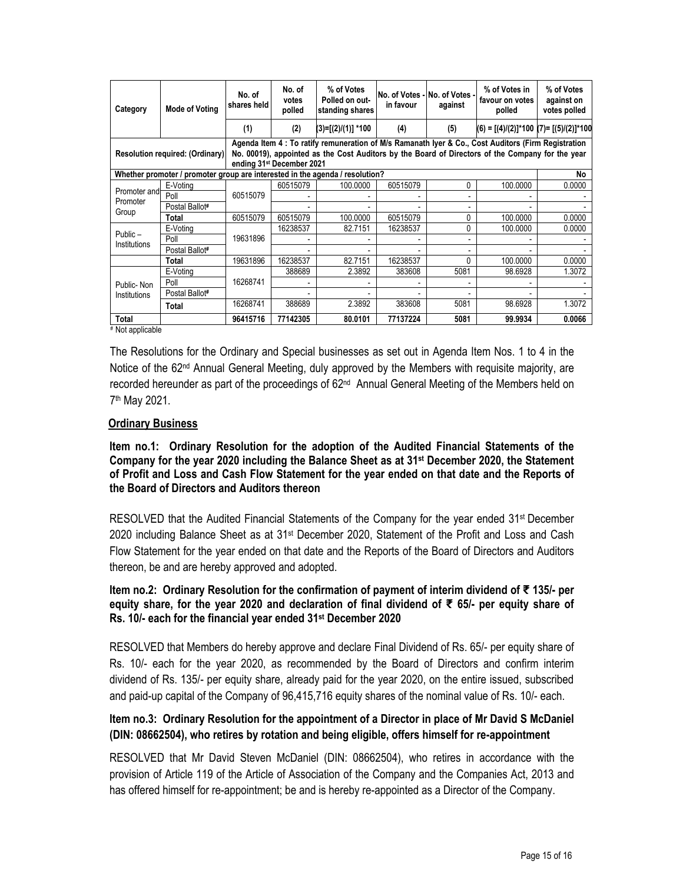| Category                                                                                                                                                                                                                                                                | <b>Mode of Voting</b> | No. of<br>shares held | No. of<br>votes<br>polled | % of Votes<br>Polled on out-<br>standing shares | in favour | No. of Votes - No. of Votes -<br>against | % of Votes in<br>favour on votes<br>polled      | % of Votes<br>against on<br>votes polled |
|-------------------------------------------------------------------------------------------------------------------------------------------------------------------------------------------------------------------------------------------------------------------------|-----------------------|-----------------------|---------------------------|-------------------------------------------------|-----------|------------------------------------------|-------------------------------------------------|------------------------------------------|
|                                                                                                                                                                                                                                                                         |                       | (1)                   | (2)                       | (3)=[(2)/(1)] *100                              | (4)       | (5)                                      | $(6) = [(4)/(2)]^{*}100 (7) = [(5)/(2)]^{*}100$ |                                          |
| Agenda Item 4 : To ratify remuneration of M/s Ramanath Iyer & Co., Cost Auditors (Firm Registration<br>No. 00019), appointed as the Cost Auditors by the Board of Directors of the Company for the year<br>Resolution required: (Ordinary)<br>ending 31st December 2021 |                       |                       |                           |                                                 |           |                                          |                                                 |                                          |
| Whether promoter / promoter group are interested in the agenda / resolution?                                                                                                                                                                                            |                       |                       |                           |                                                 |           |                                          |                                                 |                                          |
| Promoter and<br>Promoter<br>Group                                                                                                                                                                                                                                       | E-Voting              | 60515079              | 60515079                  | 100.0000                                        | 60515079  | 0                                        | 100.0000                                        | 0.0000                                   |
|                                                                                                                                                                                                                                                                         | Poll                  |                       |                           |                                                 |           |                                          |                                                 |                                          |
|                                                                                                                                                                                                                                                                         | Postal Ballot#        |                       |                           |                                                 |           |                                          |                                                 |                                          |
|                                                                                                                                                                                                                                                                         | <b>Total</b>          | 60515079              | 60515079                  | 100.0000                                        | 60515079  | 0                                        | 100.0000                                        | 0.0000                                   |
| $Public -$<br><b>Institutions</b>                                                                                                                                                                                                                                       | E-Voting              | 19631896              | 16238537                  | 82.7151                                         | 16238537  | 0                                        | 100.0000                                        | 0.0000                                   |
|                                                                                                                                                                                                                                                                         | Poll                  |                       |                           |                                                 |           |                                          |                                                 |                                          |
|                                                                                                                                                                                                                                                                         | Postal Ballot#        |                       |                           |                                                 |           |                                          |                                                 |                                          |
|                                                                                                                                                                                                                                                                         | Total                 | 19631896              | 16238537                  | 82.7151                                         | 16238537  | U                                        | 100.0000                                        | 0.0000                                   |
| Public-Non<br><b>Institutions</b>                                                                                                                                                                                                                                       | E-Voting              |                       | 388689                    | 2.3892                                          | 383608    | 5081                                     | 98.6928                                         | 1.3072                                   |
|                                                                                                                                                                                                                                                                         | Poll                  | 16268741              |                           |                                                 |           |                                          |                                                 |                                          |
|                                                                                                                                                                                                                                                                         | Postal Ballot#        |                       |                           |                                                 |           |                                          |                                                 |                                          |
|                                                                                                                                                                                                                                                                         | <b>Total</b>          | 16268741              | 388689                    | 2.3892                                          | 383608    | 5081                                     | 98.6928                                         | 1.3072                                   |
| Total                                                                                                                                                                                                                                                                   |                       | 96415716              | 77142305                  | 80.0101                                         | 77137224  | 5081                                     | 99.9934                                         | 0.0066                                   |

# Not applicable

The Resolutions for the Ordinary and Special businesses as set out in Agenda Item Nos. 1 to 4 in the Notice of the 62<sup>nd</sup> Annual General Meeting, duly approved by the Members with requisite majority, are recorded hereunder as part of the proceedings of 62<sup>nd</sup> Annual General Meeting of the Members held on 7 th May 2021.

#### **Ordinary Business**

**Item no.1: Ordinary Resolution for the adoption of the Audited Financial Statements of the Company for the year 2020 including the Balance Sheet as at 31st December 2020, the Statement of Profit and Loss and Cash Flow Statement for the year ended on that date and the Reports of the Board of Directors and Auditors thereon**

RESOLVED that the Audited Financial Statements of the Company for the year ended 31<sup>st</sup> December 2020 including Balance Sheet as at 31st December 2020, Statement of the Profit and Loss and Cash Flow Statement for the year ended on that date and the Reports of the Board of Directors and Auditors thereon, be and are hereby approved and adopted.

#### **Item no.2: Ordinary Resolution for the confirmation of payment of interim dividend of ₹ 135/- per equity share, for the year 2020 and declaration of final dividend of ₹ 65/- per equity share of Rs. 10/- each for the financial year ended 31st December 2020**

RESOLVED that Members do hereby approve and declare Final Dividend of Rs. 65/- per equity share of Rs. 10/- each for the year 2020, as recommended by the Board of Directors and confirm interim dividend of Rs. 135/- per equity share, already paid for the year 2020, on the entire issued, subscribed and paid-up capital of the Company of 96,415,716 equity shares of the nominal value of Rs. 10/- each.

# **Item no.3: Ordinary Resolution for the appointment of a Director in place of Mr David S McDaniel (DIN: 08662504), who retires by rotation and being eligible, offers himself for re-appointment**

RESOLVED that Mr David Steven McDaniel (DIN: 08662504), who retires in accordance with the provision of Article 119 of the Article of Association of the Company and the Companies Act, 2013 and has offered himself for re-appointment; be and is hereby re-appointed as a Director of the Company.